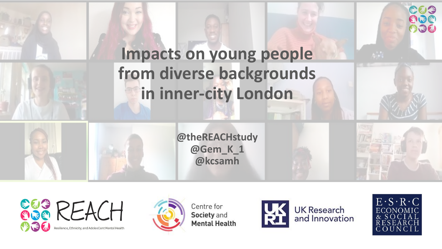





Centre for Society and **Mental Health** 



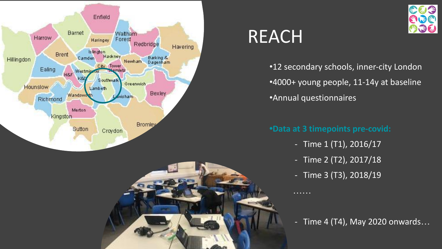



## REACH

•12 secondary schools, inner-city London •4000+ young people, 11-14y at baseline •Annual questionnaires

#### **•Data at 3 timepoints pre-covid:**

- Time 1 (T1), 2016/17
- Time 2 (T2), 2017/18
- Time 3 (T3), 2018/19

………

- Time 4 (T4), May 2020 onwards…

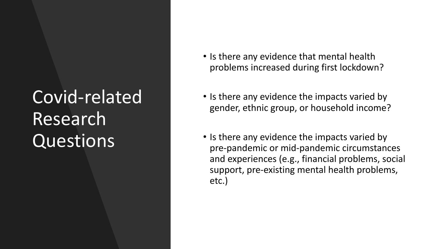# Covid-related Research Questions

- Is there any evidence that mental health problems increased during first lockdown?
- Is there any evidence the impacts varied by gender, ethnic group, or household income?
- Is there any evidence the impacts varied by pre-pandemic or mid-pandemic circumstances and experiences (e.g., financial problems, social support, pre-existing mental health problems, etc.)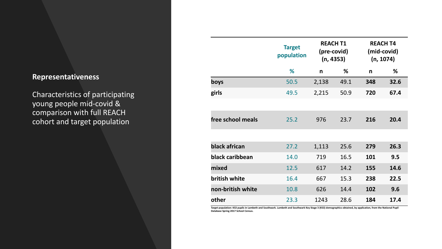#### **Representativeness**

Characteristics of participating young people mid-covid & comparison with full REACH cohort and target population

|                   | <b>Target</b><br>population | <b>REACH T1</b><br>(pre-covid)<br>(n, 4353) |      | <b>REACH T4</b><br>(mid-covid)<br>(n, 1074) |      |
|-------------------|-----------------------------|---------------------------------------------|------|---------------------------------------------|------|
|                   | %                           | n                                           | %    | n                                           | %    |
| boys              | 50.5                        | 2,138                                       | 49.1 | 348                                         | 32.6 |
| girls             | 49.5                        | 2,215                                       | 50.9 | 720                                         | 67.4 |
|                   |                             |                                             |      |                                             |      |
| free school meals | 25.2                        | 976                                         | 23.7 | 216                                         | 20.4 |
|                   |                             |                                             |      |                                             |      |
| black african     | 27.2                        | 1,113                                       | 25.6 | 279                                         | 26.3 |
| black caribbean   | 14.0                        | 719                                         | 16.5 | 101                                         | 9.5  |
| mixed             | 12.5                        | 617                                         | 14.2 | 155                                         | 14.6 |
| british white     | 16.4                        | 667                                         | 15.3 | 238                                         | 22.5 |
| non-british white | 10.8                        | 626                                         | 14.4 | 102                                         | 9.6  |
| other             | 23.3                        | 1243                                        | 28.6 | 184                                         | 17.4 |

**Target population: KS3 pupils in Lambeth and Southwark. Lambeth and Southwark Key Stage 3 (KS3) demographics obtained, by application, from the National Pupil Database Spring 2017 School Census.**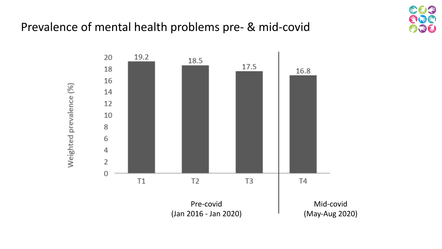#### Prevalence of mental health problems pre- & mid-covid



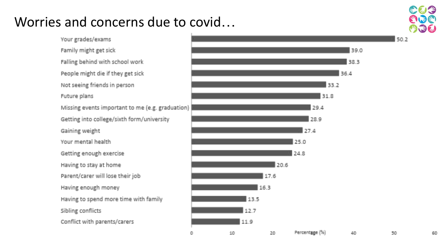### Worries and concerns due to covid…

Your grades/exams Family might get sick Falling behind with school work People might die if they get sick Not seeing friends in person Future plans Missing events important to me (e.g. graduation) Getting into college/sixth form/university Gaining weight Your mental health Getting enough exercise Having to stay at home Parent/carer will lose their job Having enough money Having to spend more time with family Sibling conflicts Conflict with parents/carers



もひろ **ETLES** 

60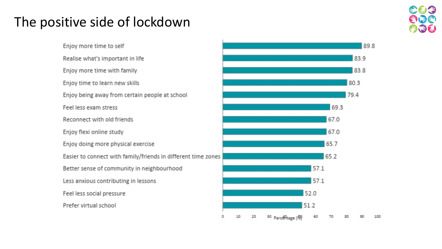## The positive side of lockdown



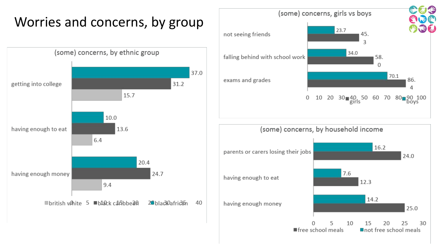## Worries and concerns, by group



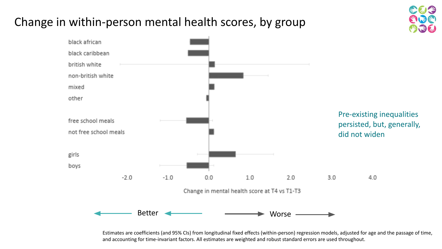### Change in within-person mental health scores, by group



Estimates are coefficients (and 95% CIs) from longitudinal fixed effects (within-person) regression models, adjusted for age and the passage of time, and accounting for time-invariant factors. All estimates are weighted and robust standard errors are used throughout.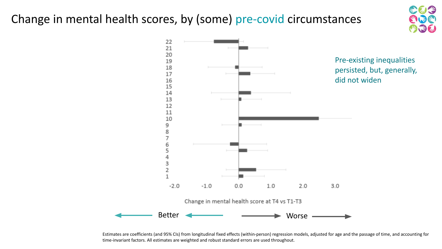### Change in mental health scores, by (some) pre-covid circumstances





Estimates are coefficients (and 95% CIs) from longitudinal fixed effects (within-person) regression models, adjusted for age and the passage of time, and accounting for time-invariant factors. All estimates are weighted and robust standard errors are used throughout.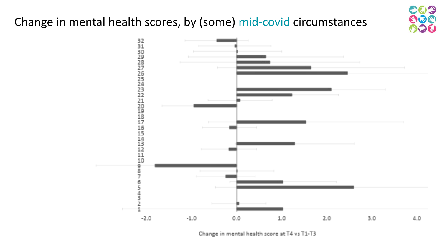### Change in mental health scores, by (some) mid-covid circumstances





Change in mental health score at T4 vs T1-T3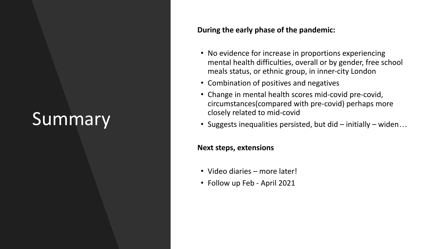# **Summary**

#### **During the early phase of the pandemic:**

- No evidence for increase in proportions experiencing mental health difficulties, overall or by gender, free school meals status, or ethnic group, in inner-city London
- Combination of positives and negatives
- Change in mental health scores mid-covid pre-covid, circumstances(compared with pre-covid) perhaps more closely related to mid-covid
- Suggests inequalities persisted, but did initially widen…

#### **Next steps, extensions**

- Video diaries more later!
- Follow up Feb April 2021